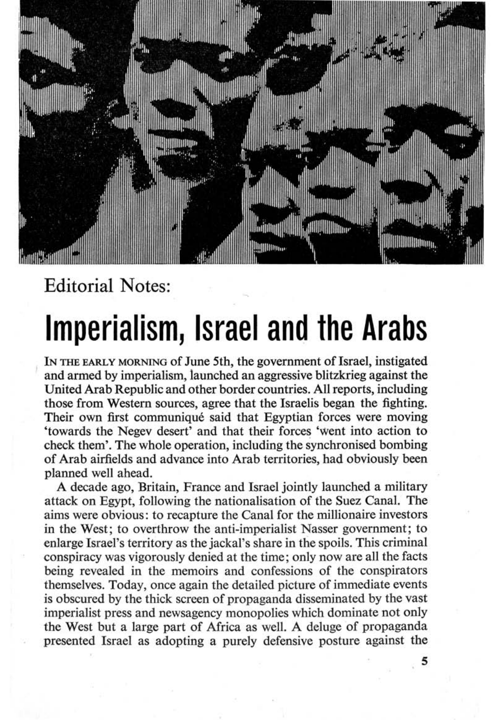

## Editorial Notes:

## Imperialism, Israel and the Arabs

IN THE EARLY MORNING of June 5th, the government of Israel, instigated and armed by imperialism, launched an aggressive blitzkrieg against the United Arab Republic and other border countries. All reports, including those from Western sources, agree that the Israelis began the fighting. Their own first communiqué said that Egyptian forces were moving 'towards the Negev desert' and that their forces 'went into action to check them'. The whole operation, including the synchronised bombing of Arab airfields and advance into Arab territories, had obviously been planned well ahead.

A decade ago, Britain, France and Israel jointly launched a military attack on Egypt, following the nationalisation of the Suez Canal. The aims were obvious: to recapture the Canal for the millionaire investors in the West; to overthrow the anti-imperialist Nasser government; to enlarge Israel's territory as the jackal's share in the spoils. This criminal conspiracy was vigorously denied at the time; only now are all the facts being revealed in the memoirs and confessions of the conspirators themselves. Today, once again the detailed picture of immediate events is obscured by the thick screen of propaganda disseminated by the vast imperialist press and newsagency monopolies which dominate not only the West but a large part of Africa as well. A deluge of propaganda presented Israel as adopting a purely defensive posture against the

5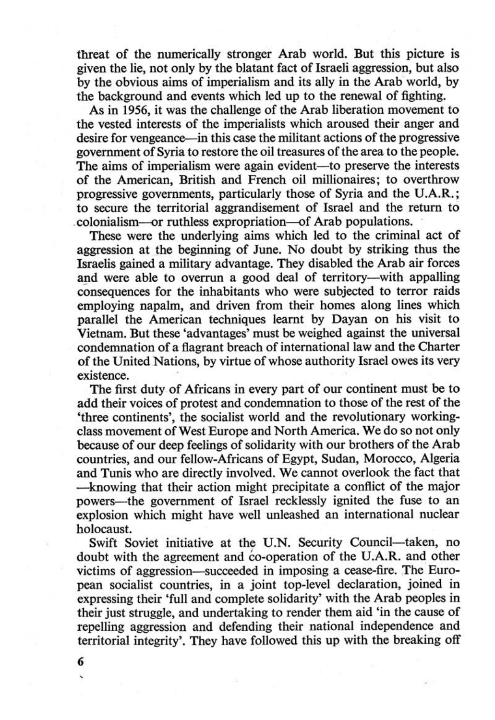threat of the numerically stronger Arab world. But this picture is given the lie, not only by the blatant fact of Israeli aggression, but also by the obvious aims of imperialism and its ally in the Arab world, by the background and events which led up to the renewal of fighting.

As in 1956, it was the challenge of the Arab liberation movement to the vested interests of the imperialists which aroused their anger and desire for vengeance—in this case the militant actions of the progressive government of Syria to restore the oil treasures of the area to the people. The aims of imperialism were again evident-to preserve the interests of the American, British and French oil millionaires; to overthrow progressive governments, particularly those of Syria and the U.A.R.; to secure the territorial aggrandisement of Israel and the return to .colonialism--or ruthless expropriation--of Arab populations..

These were the underlying aims which led to the criminal act of aggression at the beginning of June. No doubt by striking thus the Israelis gained a military advantage. They disabled the Arab air forces and were able to overrun a good deal of territory-with appalling consequences for the inhabitants who were subjected to terror raids employing napalm, and driven from their homes along lines which parallel the American techniques learnt by Dayan on his visit to Vietnam. But these 'advantages' must be weighed against the universal condemnation of a flagrant breach of international law and the Charter of the United Nations, by virtue of whose authority Israel owes its very existence.

Swift Soviet initiative at the U.N. Security Council—taken, no doubt with the agreement and co-operation of the U.A.R. and other victims of aggression-succeeded in imposing a cease-fire. The European socialist countries, in a joint top·level declaratioo, joined in expressing their 'full and complete solidarity' with the Arab peoples in their just struggle, and undertaking to render them aid 'in the cause of repelling aggression and defending their national independence and territorial integrity'. They have followed this up with the breaking off

The first duty of Africans in every part of our continent must be to add their voices of protest and condemnation to those of the rest of the 'three continents', the socialist world and the revolutionary working~ class movement of West Europe and North America. We do so not only because of our deep feelings of solidarity with our brothers of the Arab countries, and our fellow-Africans of Egypt, Sudan, Morocco, Algeria and Tunis who are directly involved. We cannot overlook the fact that -knowing that their action might precipitate a conflict of the major powers-the government of Israel recklessly ignited the fuse to an explosion which might have well unleashed an international nuclear holocaust.

6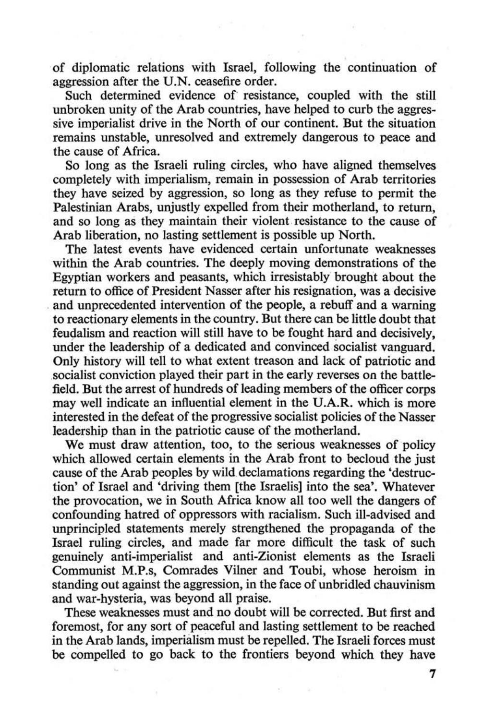of diplomatic relations with Israel, following the continuation of aggression after the U.N. ceasefire order.

Such determined evidence of resistance, coupled with the still unbroken unity of the Arab countries, have helped to curb the aggressive imperialist drive in the North of our continent. But the situation remains unstable, unresolved and extremely dangerous to peace and the cause of Africa.

So long as the Israeli ruling circles, who have aligned themselves completely with imperialism, remain in possession of Arab territories they have seized by aggression, so long as they refuse to permit the Palestinian Arabs, unjustly expelled from their motherland, to return, and so long as they maintain their violent resistance to the cause of Arab liberation, no lasting settlement is possible up North.

The latest events have evidenced certain unfortunate weaknesses within the Arab countries. The deeply moving demonstrations of the Egyptian workers and peasants, which irresistably brought about the return to office of President Nasser after his resignation, was a decisive . and unprecedented intervention of the people, a rebuff and a warning to reactionary elements in the country. But there can be little doubt that feudalism and reaction will still have to be fought hard and decisively, under the leadership of a dedicated and convinced socialist vanguard. Only history will tell to what extent treason and lack of patriotic and socialist conviction played their part in the early reverses on the battlefield. But the arrest of hundreds of leading members of the officer corps may well indicate an influential element in the U.A.R. which is more interested in the defeat of the progressive socialist policies of the Nasser leadership than in the patriotic cause of the motherland.

We must draw attention, too, to the serious weaknesses of policy which allowed certain elements in the Arab front to becloud the just cause of the Arab peoples by wild declamations regarding the 'destruction' of Israel and 'driving them (the Israelis) into the sea'. Whatever the provocation, we in South Africa know all too well the dangers of confounding hatred of oppressors with racialism. Such ill-advised and unprincipled statements merely strengthened the propaganda of the Israel ruling circles, and made far more difficult the task of such genuinely anti-imperialist and anti-Zionist elements as the Israeli Communist M.P.s, Comrades Vilner and Toubi, whose heroism in standing out against the aggression, in the face of unbridled chauvinism and war-hysteria, was beyond all praise.

These weaknesses must and no doubt will be corrected. But first and foremost, for any sort of peaceful and lasting settlement to be reached in the Arab lands, imperialism must be repelled. The Israeli forces must be compelled to go back to the frontiers beyond which they have

7